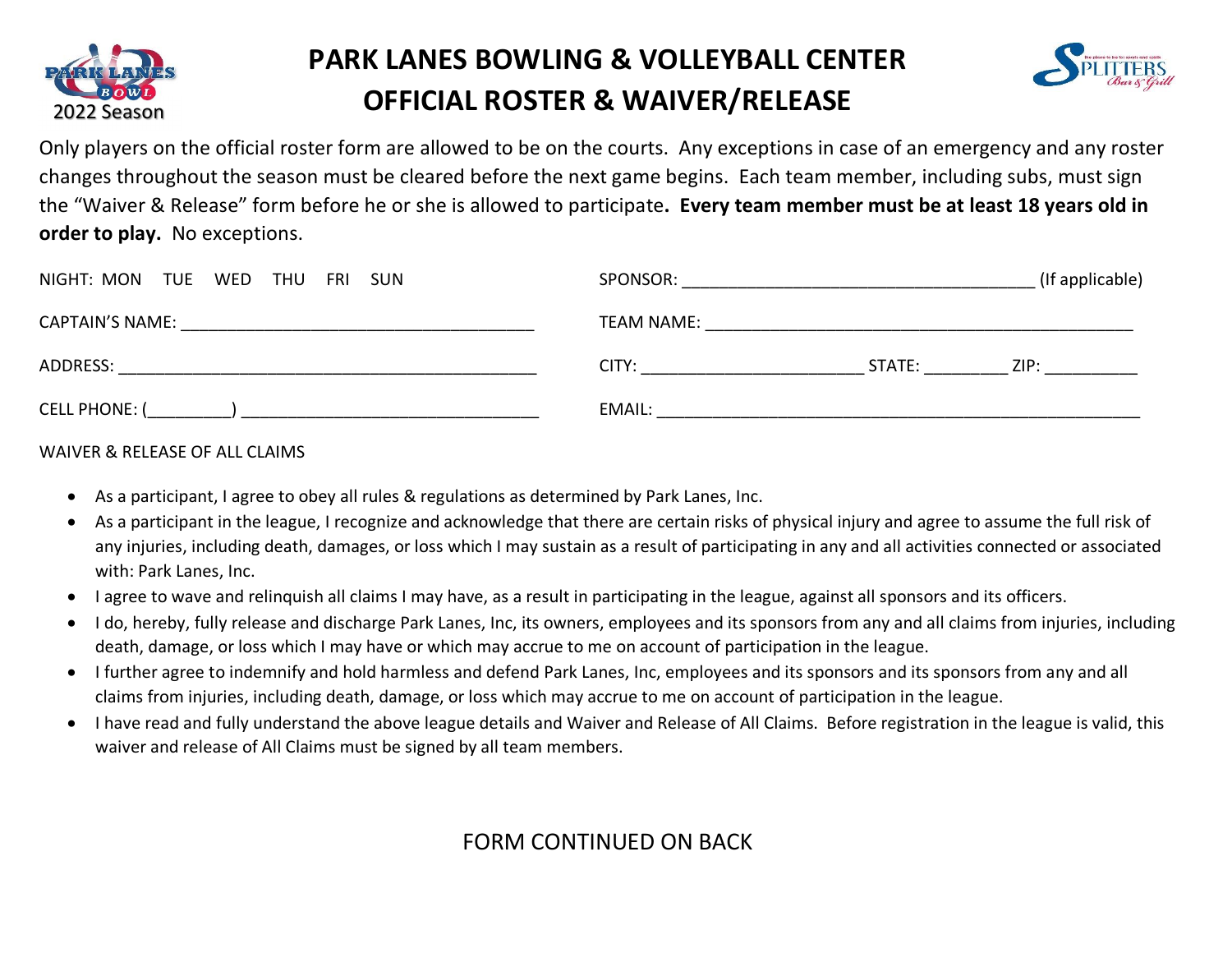

## **PARK LANES BOWLING & VOLLEYBALL CENTER OFFICIAL ROSTER & WAIVER/RELEASE**



Only players on the official roster form are allowed to be on the courts. Any exceptions in case of an emergency and any roster changes throughout the season must be cleared before the next game begins. Each team member, including subs, must sign the "Waiver & Release" form before he or she is allowed to participate**. Every team member must be at least 18 years old in order to play.** No exceptions.

| NIGHT: MON TUE WED THU FRI SUN | SPONSOR:          |        | (If applicable) |
|--------------------------------|-------------------|--------|-----------------|
| <b>CAPTAIN'S NAME:</b>         | <b>TEAM NAME:</b> |        |                 |
| ADDRESS:                       | CITY:             | STATE: | ZIP:            |
| <b>CELL PHONE: (</b>           | EMAIL:            |        |                 |

## WAIVER & RELEASE OF ALL CLAIMS

- · As a participant, I agree to obey all rules & regulations as determined by Park Lanes, Inc.
- · As a participant in the league, I recognize and acknowledge that there are certain risks of physical injury and agree to assume the full risk of any injuries, including death, damages, or loss which I may sustain as a result of participating in any and all activities connected or associated with: Park Lanes, Inc.
- · I agree to wave and relinquish all claims I may have, as a result in participating in the league, against all sponsors and its officers.
- · I do, hereby, fully release and discharge Park Lanes, Inc, its owners, employees and its sponsors from any and all claims from injuries, including death, damage, or loss which I may have or which may accrue to me on account of participation in the league.
- · I further agree to indemnify and hold harmless and defend Park Lanes, Inc, employees and its sponsors and its sponsors from any and all claims from injuries, including death, damage, or loss which may accrue to me on account of participation in the league.
- · I have read and fully understand the above league details and Waiver and Release of All Claims. Before registration in the league is valid, this waiver and release of All Claims must be signed by all team members.

## FORM CONTINUED ON BACK